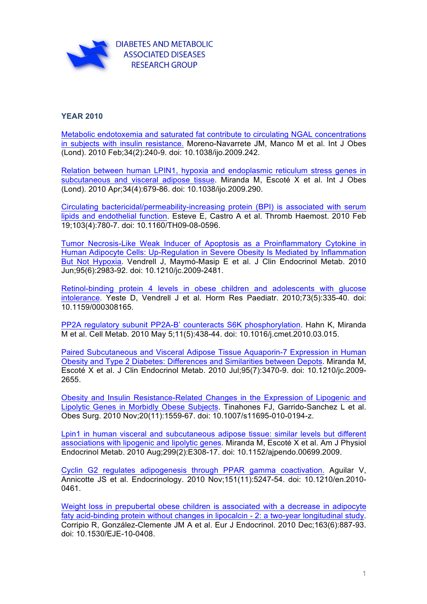

## **YEAR 2010**

[Metabolic endotoxemia and saturated fat contribute to circulating NGAL concentrations](http://www.ncbi.nlm.nih.gov/pubmed/19949414)  in subjects with insulin resistance. Moreno-Navarrete JM, Manco M et al. Int J Obes (Lond). 2010 Feb;34(2):240-9. doi: 10.1038/ijo.2009.242.

[Relation between human LPIN1, hypoxia and endoplasmic reticulum stress genes in](http://www.ncbi.nlm.nih.gov/pubmed/20101248)  subcutaneous and visceral adipose tissue. Miranda M, Escoté X et al. Int J Obes (Lond). 2010 Apr;34(4):679-86. doi: 10.1038/ijo.2009.290.

[Circulating bactericidal/permeability-increasing protein \(BPI\) is associated with serum](http://www.ncbi.nlm.nih.gov/pubmed/20174761)  lipids and endothelial function. Esteve E, Castro A et al. Thromb Haemost. 2010 Feb 19;103(4):780-7. doi: 10.1160/TH09-08-0596.

[Tumor Necrosis-Like Weak Inducer of Apoptosis as a Proinflammatory Cytokine in](http://www.ncbi.nlm.nih.gov/pubmed/20382683)  Human Adipocyte Cells: Up-Regulation in Severe Obesity Is Mediated by Inflammation But Not Hypoxia. Vendrell J, Maymó-Masip E et al. J Clin Endocrinol Metab. 2010 Jun;95(6):2983-92. doi: 10.1210/jc.2009-2481.

[Retinol-binding protein 4 levels in obese children and adolescents with glucose](http://www.ncbi.nlm.nih.gov/pubmed/20389103)  intolerance. Yeste D, Vendrell J et al. Horm Res Paediatr. 2010;73(5):335-40. doi: 10.1159/000308165.

[PP2A regulatory subunit PP2A-B' counteracts S6K phosphorylation.](http://www.ncbi.nlm.nih.gov/pubmed/20444422) Hahn K, Miranda M et al. Cell Metab. 2010 May 5;11(5):438-44. doi: 10.1016/j.cmet.2010.03.015.

[Paired Subcutaneous and Visceral Adipose Tissue Aquaporin-7 Expression in Human](http://www.ncbi.nlm.nih.gov/pubmed/20463097) Obesity and Type 2 Diabetes: Differences and Similarities between Depots. Miranda M, Escoté X et al. J Clin Endocrinol Metab. 2010 Jul;95(7):3470-9. doi: 10.1210/jc.2009- 2655.

[Obesity and Insulin Resistance-Related Changes in the Expression of Lipogenic and](http://www.ncbi.nlm.nih.gov/pubmed/20512427)  Lipolytic Genes in Morbidly Obese Subjects. Tinahones FJ, Garrido-Sanchez L et al. Obes Surg. 2010 Nov;20(11):1559-67. doi: 10.1007/s11695-010-0194-z.

[Lpin1 in human visceral and subcutaneous adipose tissue: similar levels but different](http://www.ncbi.nlm.nih.gov/pubmed/20530740)  associations with lipogenic and lipolytic genes. Miranda M, Escoté X et al. Am J Physiol Endocrinol Metab. 2010 Aug;299(2):E308-17. doi: 10.1152/ajpendo.00699.2009.

[Cyclin G2 regulates adipogenesis through PPAR gamma coactivation.](http://www.ncbi.nlm.nih.gov/pubmed/20844002) Aguilar V, Annicotte JS et al. Endocrinology. 2010 Nov;151(11):5247-54. doi: 10.1210/en.2010- 0461.

[Weight loss in prepubertal obese children is associated with a decrease in adipocyte](http://www.ncbi.nlm.nih.gov/pubmed/21046484)  faty acid-binding protein without changes in lipocalcin - 2: a two-year longitudinal study. Corripio R, González-Clemente JM A et al. Eur J Endocrinol. 2010 Dec;163(6):887-93. doi: 10.1530/EJE-10-0408.